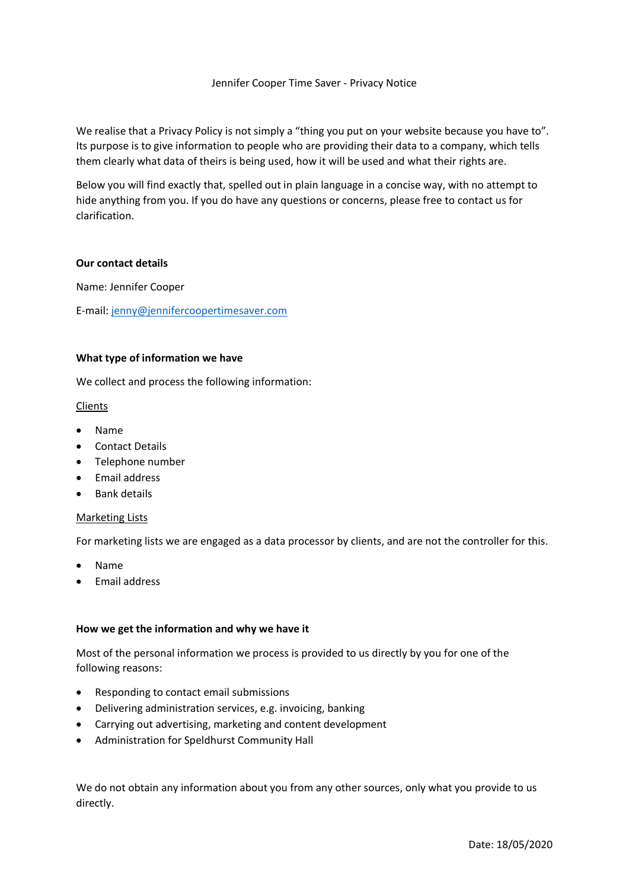# Jennifer Cooper Time Saver - Privacy Notice

We realise that a Privacy Policy is not simply a "thing you put on your website because you have to". Its purpose is to give information to people who are providing their data to a company, which tells them clearly what data of theirs is being used, how it will be used and what their rights are.

Below you will find exactly that, spelled out in plain language in a concise way, with no attempt to hide anything from you. If you do have any questions or concerns, please free to contact us for clarification.

#### **Our contact details**

Name: Jennifer Cooper

E-mail: [jenny@jennifercoopertimesaver.com](mailto:jenny@jennifercoopertimesaver.com)

## **What type of information we have**

We collect and process the following information:

## Clients

- Name
- Contact Details
- Telephone number
- Email address
- Bank details

#### Marketing Lists

For marketing lists we are engaged as a data processor by clients, and are not the controller for this.

- Name
- Email address

#### **How we get the information and why we have it**

Most of the personal information we process is provided to us directly by you for one of the following reasons:

- Responding to contact email submissions
- Delivering administration services, e.g. invoicing, banking
- Carrying out advertising, marketing and content development
- Administration for Speldhurst Community Hall

We do not obtain any information about you from any other sources, only what you provide to us directly.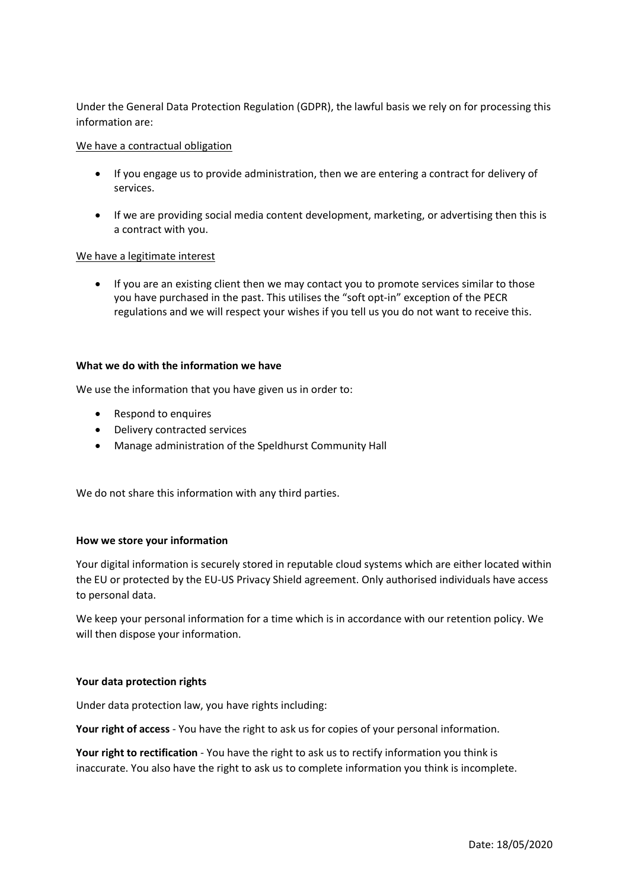Under the General Data Protection Regulation (GDPR), the lawful basis we rely on for processing this information are:

### We have a contractual obligation

- If you engage us to provide administration, then we are entering a contract for delivery of services.
- If we are providing social media content development, marketing, or advertising then this is a contract with you.

## We have a legitimate interest

• If you are an existing client then we may contact you to promote services similar to those you have purchased in the past. This utilises the "soft opt-in" exception of the PECR regulations and we will respect your wishes if you tell us you do not want to receive this.

### **What we do with the information we have**

We use the information that you have given us in order to:

- Respond to enquires
- Delivery contracted services
- Manage administration of the Speldhurst Community Hall

We do not share this information with any third parties.

# **How we store your information**

Your digital information is securely stored in reputable cloud systems which are either located within the EU or protected by the EU-US Privacy Shield agreement. Only authorised individuals have access to personal data.

We keep your personal information for a time which is in accordance with our retention policy. We will then dispose your information.

#### **Your data protection rights**

Under data protection law, you have rights including:

**Your right of access** - You have the right to ask us for copies of your personal information.

**Your right to rectification** - You have the right to ask us to rectify information you think is inaccurate. You also have the right to ask us to complete information you think is incomplete.